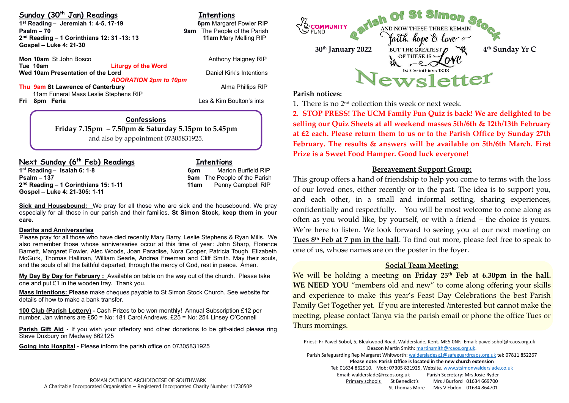## **Sunday (30th Jan) Readings Intentions**

**1**<sup>st</sup> Reading – Jeremiah 1: 4-5, 17-19 **6pm** Margaret Fowler RIP **Psalm – 70**<br> **Pam**  The People of the Parish **19th of the Parish**<br> **2<sup>nd</sup> Reading – 1 Corinthians 12: 31 -13: 13 11am** Mary Melling RIP **2 nd Reading** – **1 Corinthians 12: 31 -13: 13 11am** Mary Melling RIP **Gospel – Luke 4: 21-30** 

**Mon 10am** St John Bosco **Anthony Haigney RIP** Anthony Haigney RIP **Tue 10am Liturgy of the Word Wed 10am Presentation of the Lord <b>Daniel Kirk's Intentions** *ADORATION 2pm to 10pm*

**Thu 9am St Lawrence of Canterbury <b>Alma Phillips RIP Alma Phillips RIP**  11am Funeral Mass Leslie Stephens RIP **Fri 8pm Feria** Les & Kim Boulton's ints

**Confessions Friday 7.15pm – 7.50pm & Saturday 5.15pm to 5.45pm** and also by appointment 07305831925.

# **Next Sunday (6 th Feb) Readings Intentions**

**1 st Reading** – **Isaiah 6: 1-8 6pm** Marion Burfield RIP **Psalm – 137 9am** The People of the Parish **2 nd Reading** – **1 Corinthians 15: 1-11 11am** Penny Campbell RIP **Gospel – Luke 4: 21-305: 1-11** 

**Sick and Housebound:** We pray for all those who are sick and the housebound. We pray especially for all those in our parish and their families. **St Simon Stock, keep them in your care.**

### **Deaths and Anniversaries**

Please pray for all those who have died recently Mary Barry, Leslie Stephens & Ryan Mills. We also remember those whose anniversaries occur at this time of year: John Sharp, Florence Barnett, Margaret Fowler, Alec Woods, Joan Paradise, Nora Cooper, Patricia Tough, Elizabeth McGurk, Thomas Hallinan, William Searle, Andrea Freeman and Cliff Smith. May their souls, and the souls of all the faithful departed, through the mercy of God, rest in peace. Amen.

**My Day By Day for February :** Available on table on the way out of the church. Please take one and put £1 in the wooden tray. Thank you.

**Mass Intentions: Please** make cheques payable to St Simon Stock Church. See website for details of how to make a bank transfer.

**100 Club (Parish Lottery) -** Cash Prizes to be won monthly! Annual Subscription £12 per number. Jan winners are £50 = No: 181 Carol Andrews, £25 = No: 254 Linsey O'Connell

**Parish Gift Aid -** If you wish your offertory and other donations to be gift-aided please ring Steve Duxbury on Medway 862125

**Going into Hospital -** Please inform the parish office on 07305831925



## **Parish notices:**

1. There is no 2nd collection this week or next week.

**2. STOP PRESS! The UCM Family Fun Quiz is back! We are delighted to be selling our Quiz Sheets at all weekend masses 5th/6th & 12th/13th February at £2 each. Please return them to us or to the Parish Office by Sunday 27th February. The results & answers will be available on 5th/6th March. First Prize is a Sweet Food Hamper. Good luck everyone!**

## **Bereavement Support Group:**

This group offers a hand of friendship to help you come to terms with the loss of our loved ones, either recently or in the past. The idea is to support you, and each other, in a small and informal setting, sharing experiences, confidentially and respectfully. You will be most welcome to come along as often as you would like, by yourself, or with a friend – the choice is yours. We're here to listen. We look forward to seeing you at our next meeting on **Tues 8th Feb at 7 pm in the hall**. To find out more, please feel free to speak to one of us, whose names are on the poster in the foyer.

# **Social Team Meeting:**

We will be holding a meeting **on Friday 25th Feb at 6.30pm in the hall. WE NEED YOU** "members old and new" to come along offering your skills and experience to make this year's Feast Day Celebrations the best Parish Family Get Together yet. If you are interested /interested but cannot make the meeting, please contact Tanya via the parish email or phone the office Tues or Thurs mornings.

Priest: Fr Pawel Sobol, 5, Bleakwood Road, Walderslade, Kent. ME5 0NF. Email: pawelsobol@rcaos.org.uk Deacon Martin Smith[: martinsmith@rcaos.org.uk.](mailto:martinsmith@rcaos.org.uk)

Parish Safeguarding Rep Margaret Whitworth[: waldersladesg1@safeguardrcaos.org.uk](mailto:waldersladesg1@safeguardrcaos.org.uk) tel: 07811 852267

**Please note: Parish Office is located in the new church extension**

Tel: 01634 862910. Mob: 07305 831925, Website[. www.stsimonwalderslade.co.uk](http://www.stsimonwalderslade/) Email[: walderslade@rcaos.org.uk](mailto:walderslade@rcaos.org.uk) Parish Secretary: Mrs Josie Ryder Primary schools St Benedict's Mrs J Burford 01634 669700 St Thomas More Mrs V Ebdon 01634 864701